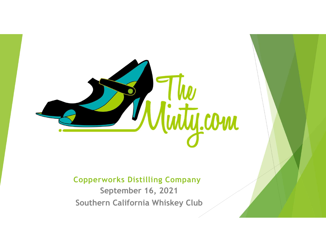

#### Copperworks Distilling Company

September 16, 2021 Southern California Whiskey Club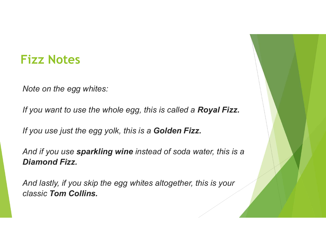#### Fizz Notes

Note on the egg whites:

If you want to use the whole egg, this is called a Royal Fizz.

If you use just the egg yolk, this is a Golden Fizz.

And if you use sparkling wine instead of soda water, this is a Diamond Fizz.

And lastly, if you skip the egg whites altogether, this is your classic Tom Collins.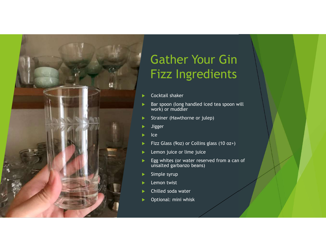

## Gather Your Gin Fizz Ingredients Gather Your Gin<br>Fizz Ingredients<br>
Procktail shaker<br>
Bar spoon (long handled iced tea spoon will<br>
Strainer (Hawthorne or julep)<br>
Bager<br>
Bar spoon (long handled iced tea spoon will) Gather Your Gin<br>
Fizz Ingredients<br>
> Cocktail shaker<br>
> Express (or long handled iced tea spoon will<br>
work) or mudder<br>
> Strainer (Hawthorne or julep)<br>
> Jigger<br>
> Lee<br>
> Fizz Glass (9oz) or Collins glass (10 oz+)<br>
> Lemon

- Cocktail shaker
- work) or muddler
- Strainer (Hawthorne or julep)
- Jigger
- $\blacktriangleright$  Ice and  $\blacktriangleright$  Ice and  $\blacktriangleright$  Ice and  $\blacktriangleright$  Ice and  $\blacktriangleright$
- 
- **Lemon juice or lime juice**
- Egg whites (or water reserved from a can of unsalted garbanzo beans)
- $\blacktriangleright$  Simple syrup
- Lemon twist
- Chilled soda water
- Optional: mini whisk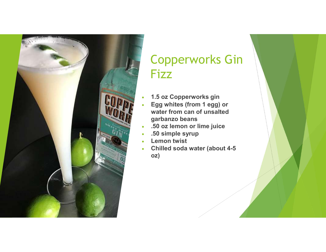

### Copperworks Gin Fizz

- 1.5 oz Copperworks gin
- Egg whites (from 1 egg) or water from can of unsalted garbanzo beans
- .50 oz lemon or lime juice
- .50 simple syrup
- Lemon twist
- Chilled soda water (about 4-5 oz)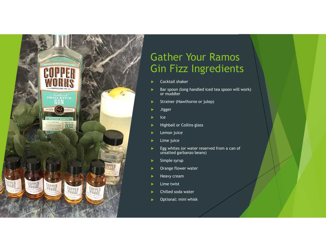

# Gather Your Ramos Gin Fizz Ingredients Gather Your Ramos<br>
Gin Fizz Ingredients<br>
Cocktail shaker<br>
Bar spoon (long handled iced tea spoon will work)<br>
Strainer (Hawthorne or julep)<br>
Strainer (Hawthorne or julep)<br>
Lister

- Cocktail shaker
- or muddler
- Strainer (Hawthorne or julep)
- **>** Jigger
- $\blacktriangleright$  Ice and  $\blacktriangleright$  Ice and  $\blacktriangleright$  Ice and  $\blacktriangleright$  Ice and  $\blacktriangleright$
- Highball or Collins glass
- $\blacktriangleright$  Lemon juice
- $\blacktriangleright$  Lime juice
- $\blacktriangleright$  Egg whites (or water reserved from a can of unsalted garbanzo beans)
- $\blacktriangleright$  Simple syrup
- **Drange flower water**
- **Heavy cream**
- $\blacktriangleright$  Lime twist
- Chilled soda water
- Optional: mini whisk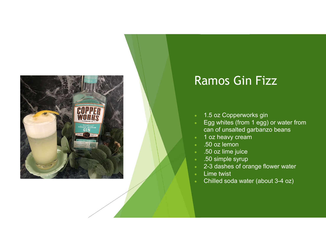

#### Ramos Gin Fizz

- 1.5 oz Copperworks gin
- Egg whites (from 1 egg) or water from can of unsalted garbanzo beans
- 1 oz heavy cream
- .50 oz lemon
- .50 oz lime juice
- .50 simple syrup
- 2-3 dashes of orange flower water
- Lime twist
- Chilled soda water (about 3-4 oz)